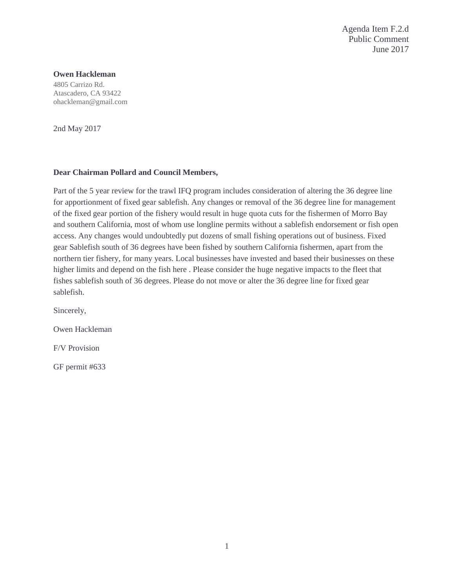Agenda Item F.2.d Public Comment June 2017

## **Owen Hackleman**

4805 Carrizo Rd. Atascadero, CA 93422 ohackleman@gmail.com

2nd May 2017

## **Dear Chairman Pollard and Council Members,**

Part of the 5 year review for the trawl IFQ program includes consideration of altering the 36 degree line for apportionment of fixed gear sablefish. Any changes or removal of the 36 degree line for management of the fixed gear portion of the fishery would result in huge quota cuts for the fishermen of Morro Bay and southern California, most of whom use longline permits without a sablefish endorsement or fish open access. Any changes would undoubtedly put dozens of small fishing operations out of business. Fixed gear Sablefish south of 36 degrees have been fished by southern California fishermen, apart from the northern tier fishery, for many years. Local businesses have invested and based their businesses on these higher limits and depend on the fish here . Please consider the huge negative impacts to the fleet that fishes sablefish south of 36 degrees. Please do not move or alter the 36 degree line for fixed gear sablefish.

Sincerely,

Owen Hackleman

F/V Provision

GF permit #633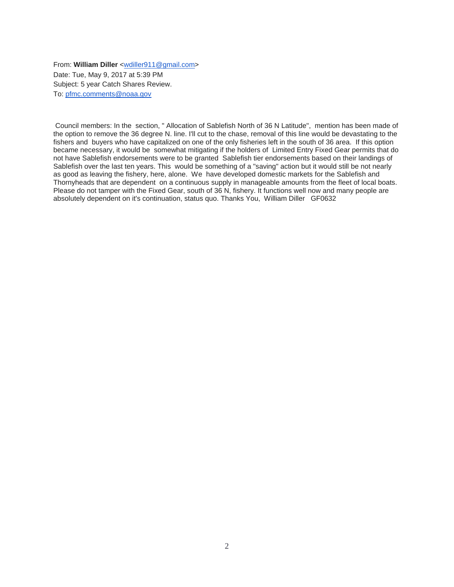From: **William Diller** [<wdiller911@gmail.com>](mailto:wdiller911@gmail.com) Date: Tue, May 9, 2017 at 5:39 PM Subject: 5 year Catch Shares Review. To: [pfmc.comments@noaa.gov](mailto:pfmc.comments@noaa.gov)

Council members: In the section, " Allocation of Sablefish North of 36 N Latitude", mention has been made of the option to remove the 36 degree N. line. I'll cut to the chase, removal of this line would be devastating to the fishers and buyers who have capitalized on one of the only fisheries left in the south of 36 area. If this option became necessary, it would be somewhat mitigating if the holders of Limited Entry Fixed Gear permits that do not have Sablefish endorsements were to be granted Sablefish tier endorsements based on their landings of Sablefish over the last ten years. This would be something of a "saving" action but it would still be not nearly as good as leaving the fishery, here, alone. We have developed domestic markets for the Sablefish and Thornyheads that are dependent on a continuous supply in manageable amounts from the fleet of local boats. Please do not tamper with the Fixed Gear, south of 36 N, fishery. It functions well now and many people are absolutely dependent on it's continuation, status quo. Thanks You, William Diller GF0632